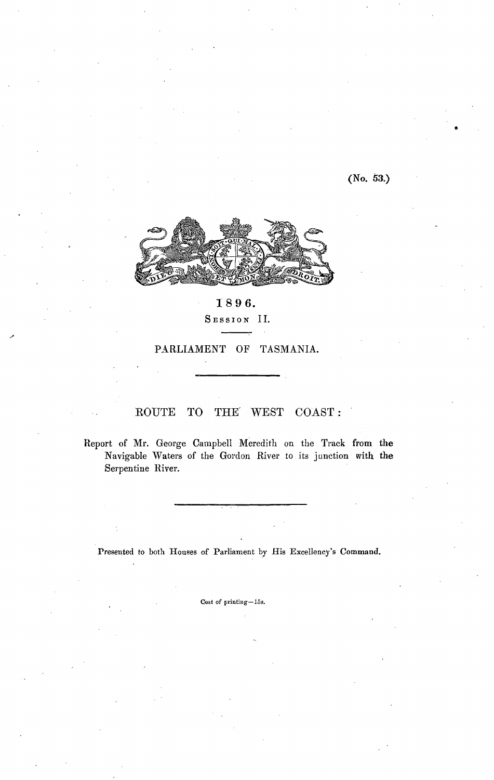(No. 53.)



## 1896. SESSION II.

PARLIAMENT OF TASMANIA.

## ROUTE **TO** THE **WEST** COAST:

Report of Mr. George Campbell Meredith on the Track from the Navigable Waters of the Gordon River to its junction with the Serpentine River.

Presented to both Houses of Parliament by His Excellency's Command.

Cost of printing-15s.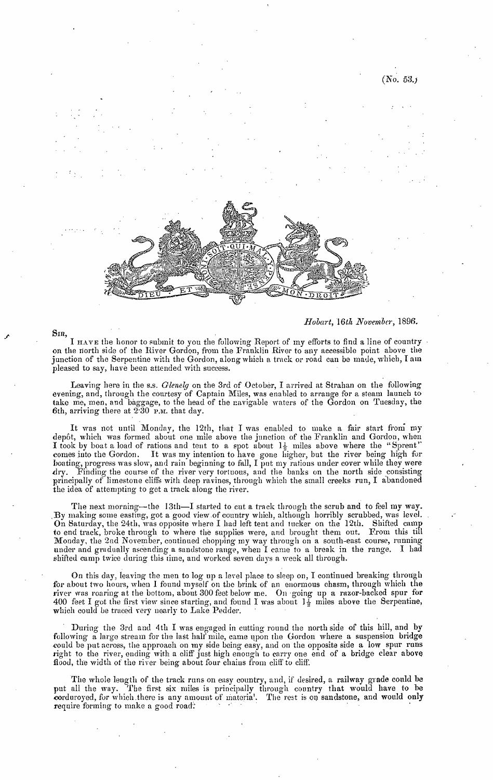

*Hobart, 16th November,* 1896.

 $(No. 53)$ 

I HAVE the honor to submit to you the following Report of my efforts to find a line of country on the north side of the River Gordon, from the Franklin River to any accessible point above the junction of the Serpentine with the Gordon, along which a track or road can be made, which, I am pleased to say, have been attended with success.

Leaving here in the s.s. *Glenelg* on the 3rd of October, I arrived at Strahan on the following evening, and, through the courtesy of Captain Miles, was enabled to arrange for a steam launch to take me, men, and baggage, to the head of the navigable waters of the Gordon on Tuesday, the 6th, arriving there at  $2.30$  P.M. that day.

It was not until Monday, the 12th, that I was enabled to make a fair start froni my depôt, which was formed about one mile above the junction of the Franklin and Gordon, when I took by boat a load of rations and tent to a spot about  $1\frac{1}{2}$  miles above where the "Sprent" comes into the Gordon. It was my intention to have gone higher, but the river being high for boating, progress was slow, and rain beginning to fall, I put my rations under cover while they were .dry. Finding the course of the river very tortuous, and the banks on the north side \_consisting principally of limestone cliffs with deep ravines, through which the small creeks run, I abandoned the idea of attempting to get a track along the river.

The next morning-the 13th-I started to cut a track through the scrub and to feel my way. . By making some easting, got a good view of country which, although horribly scrubbed, was level. On Saturday, the 24th, was opposite where I had left tent and tucker on the 12th. Shifted camp to end track, broke through to where the supplies were, and brought them out. From this till Monday, the 2nd November, continued chopping my way through on a south-east course, running under and gradually ascending a sandstone range, when I came to a break in the range. I had shifted camp twice during this time, and worked seven days a week all through.

On this day, leaving the men to log up a level place to sleep on, I continued breaking through for about two hours, when I found myself on the brink of an enormous chasm, through which the river was roaring at the bottom, about 300 feet below me. On ·going up a razor-backed spur for 400 feet I got the first view since starting, and found I was about  $J\frac{y}{2}$  miles above the Serpentine, which could be traced very nearly to Lake Pedder.

During the 3rd and 4th I was engaged in cutting round the north side of this hill, and by following a large stream for the last half mile, came upon the Gordon where a suspension bridge .could be put across, the approach on my side being easy, and on the opposite side a low spur runs right to the river, ending with a cliff just high enough to carry one end of a bridge clear above flood, the width of the river being about four chains from cliff to cliff.

The whole length of the track runs on easy country, and, if desired, a railway grade could be put all the way. The first six miles is principally through country that would have to be corduroyed, for which there is any amount of materia'. The rest is on sandstone, and would only require forming to make a good road:

**Sm,**